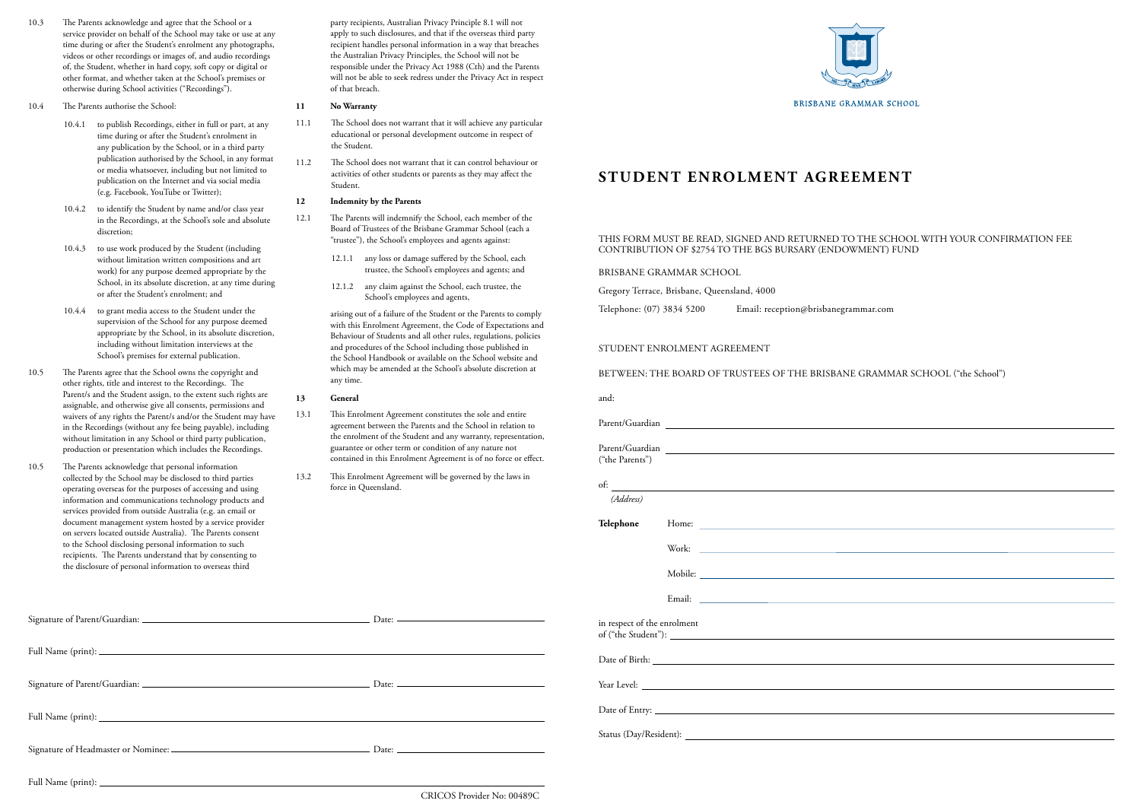# **STUDENT ENROLMENT AGREEMENT**

# STUDENT ENROLMENT AGREEMENT

BETWEEN: THE BOARD OF TRUSTEES OF THE BRISBANE GRAMMAR SCHOOL ("the School")

and:

| Parent/Guardian             |  |  |
|-----------------------------|--|--|
|                             |  |  |
| ("the Parents")             |  |  |
| $\overline{\text{of:}}$     |  |  |
| (Address)                   |  |  |
| Telephone                   |  |  |
|                             |  |  |
|                             |  |  |
|                             |  |  |
| in respect of the enrolment |  |  |
|                             |  |  |
|                             |  |  |
|                             |  |  |
|                             |  |  |
|                             |  |  |

- 10.3 The Parents acknowledge and agree that the School or a service provider on behalf of the School may take or use at any time during or after the Student's enrolment any photographs, videos or other recordings or images of, and audio recordings of, the Student, whether in hard copy, soft copy or digital or other format, and whether taken at the School's premises or otherwise during School activities ("Recordings").
- 10.4 The Parents authorise the School:
	- 10.4.1 to publish Recordings, either in full or part, at any time during or after the Student's enrolment in any publication by the School, or in a third party publication authorised by the School, in any format or media whatsoever, including but not limited to publication on the Internet and via social media (e.g. Facebook, YouTube or Twitter);
	- 10.4.2 to identify the Student by name and/or class year in the Recordings, at the School's sole and absolute discretion;
	- 10.4.3 to use work produced by the Student (including without limitation written compositions and art work) for any purpose deemed appropriate by the School, in its absolute discretion, at any time during or after the Student's enrolment; and
	- 10.4.4 to grant media access to the Student under the supervision of the School for any purpose deemed appropriate by the School, in its absolute discretion, including without limitation interviews at the School's premises for external publication.
- 10.5 The Parents agree that the School owns the copyright and other rights, title and interest to the Recordings. The Parent/s and the Student assign, to the extent such rights are assignable, and otherwise give all consents, permissions and waivers of any rights the Parent/s and/or the Student may have in the Recordings (without any fee being payable), including without limitation in any School or third party publication, production or presentation which includes the Recordings.
- 10.5 The Parents acknowledge that personal information collected by the School may be disclosed to third parties operating overseas for the purposes of accessing and using information and communications technology products and services provided from outside Australia (e.g. an email or document management system hosted by a service provider on servers located outside Australia). The Parents consent to the School disclosing personal information to such recipients. The Parents understand that by consenting to the disclosure of personal information to overseas third

party recipients, Australian Privacy Principle 8.1 will not apply to such disclosures, and that if the overseas third party recipient handles personal information in a way that breaches the Australian Privacy Principles, the School will not be responsible under the Privacy Act 1988 (Cth) and the Parents will not be able to seek redress under the Privacy Act in respect of that breach.

### **11 No Warranty**

- 11.1 The School does not warrant that it will achieve any particular educational or personal development outcome in respect of the Student.
- 11.2 The School does not warrant that it can control behaviour or activities of other students or parents as they may affect the Student.

#### **12 Indemnity by the Parents**

- 12.1 The Parents will indemnify the School, each member of the Board of Trustees of the Brisbane Grammar School (each a "trustee"), the School's employees and agents against:
	- 12.1.1 any loss or damage suffered by the School, each trustee, the School's employees and agents; and
	- 12.1.2 any claim against the School, each trustee, the School's employees and agents,

arising out of a failure of the Student or the Parents to comply with this Enrolment Agreement, the Code of Expectations and Behaviour of Students and all other rules, regulations, policies and procedures of the School including those published in the School Handbook or available on the School website and which may be amended at the School's absolute discretion at any time.

### **13 General**

- 13.1 This Enrolment Agreement constitutes the sole and entire agreement between the Parents and the School in relation to the enrolment of the Student and any warranty, representation, guarantee or other term or condition of any nature not contained in this Enrolment Agreement is of no force or effect.
- 13.2 This Enrolment Agreement will be governed by the laws in force in Queensland.



Full Name (print):

CRICOS Provider No: 00489C

## THIS FORM MUST BE READ, SIGNED AND RETURNED TO THE SCHOOL WITH YOUR CONFIRMATION FEE CONTRIBUTION OF \$2754 TO THE BGS BURSARY (ENDOWMENT) FUND

BRISBANE GRAMMAR SCHOOL

Gregory Terrace, Brisbane, Queensland, 4000

Telephone: (07) 3834 5200 Email: reception@brisbanegrammar.com